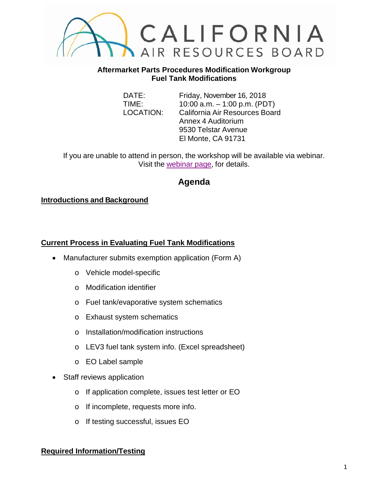

#### **Aftermarket Parts Procedures Modification Workgroup Fuel Tank Modifications**

DATE: Friday, November 16, 2018 TIME: 10:00 a.m. – 1:00 p.m. (PDT) LOCATION: California Air Resources Board Annex 4 Auditorium 9530 Telstar Avenue El Monte, CA 91731

If you are unable to attend in person, the workshop will be available via webinar. Visit the [webinar page,](https://attendee.gotowebinar.com/register/1321250532252043009) for details.

# **Agenda**

## **Introductions and Background**

## **Current Process in Evaluating Fuel Tank Modifications**

- Manufacturer submits exemption application (Form A)
	- o Vehicle model-specific
	- o Modification identifier
	- o Fuel tank/evaporative system schematics
	- o Exhaust system schematics
	- o Installation/modification instructions
	- o LEV3 fuel tank system info. (Excel spreadsheet)
	- o EO Label sample
- Staff reviews application
	- o If application complete, issues test letter or EO
	- o If incomplete, requests more info.
	- o If testing successful, issues EO

## **Required Information/Testing**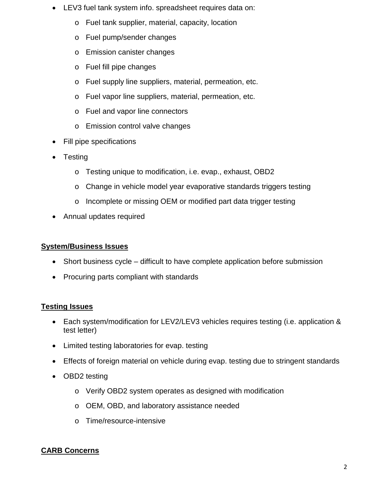- LEV3 fuel tank system info. spreadsheet requires data on:
	- o Fuel tank supplier, material, capacity, location
	- o Fuel pump/sender changes
	- o Emission canister changes
	- o Fuel fill pipe changes
	- o Fuel supply line suppliers, material, permeation, etc.
	- o Fuel vapor line suppliers, material, permeation, etc.
	- o Fuel and vapor line connectors
	- o Emission control valve changes
- Fill pipe specifications
- **Testing** 
	- o Testing unique to modification, i.e. evap., exhaust, OBD2
	- o Change in vehicle model year evaporative standards triggers testing
	- o Incomplete or missing OEM or modified part data trigger testing
- Annual updates required

#### **System/Business Issues**

- Short business cycle difficult to have complete application before submission
- Procuring parts compliant with standards

## **Testing Issues**

- Each system/modification for LEV2/LEV3 vehicles requires testing (i.e. application & test letter)
- Limited testing laboratories for evap. testing
- Effects of foreign material on vehicle during evap. testing due to stringent standards
- OBD2 testing
	- o Verify OBD2 system operates as designed with modification
	- o OEM, OBD, and laboratory assistance needed
	- o Time/resource-intensive

## **CARB Concerns**